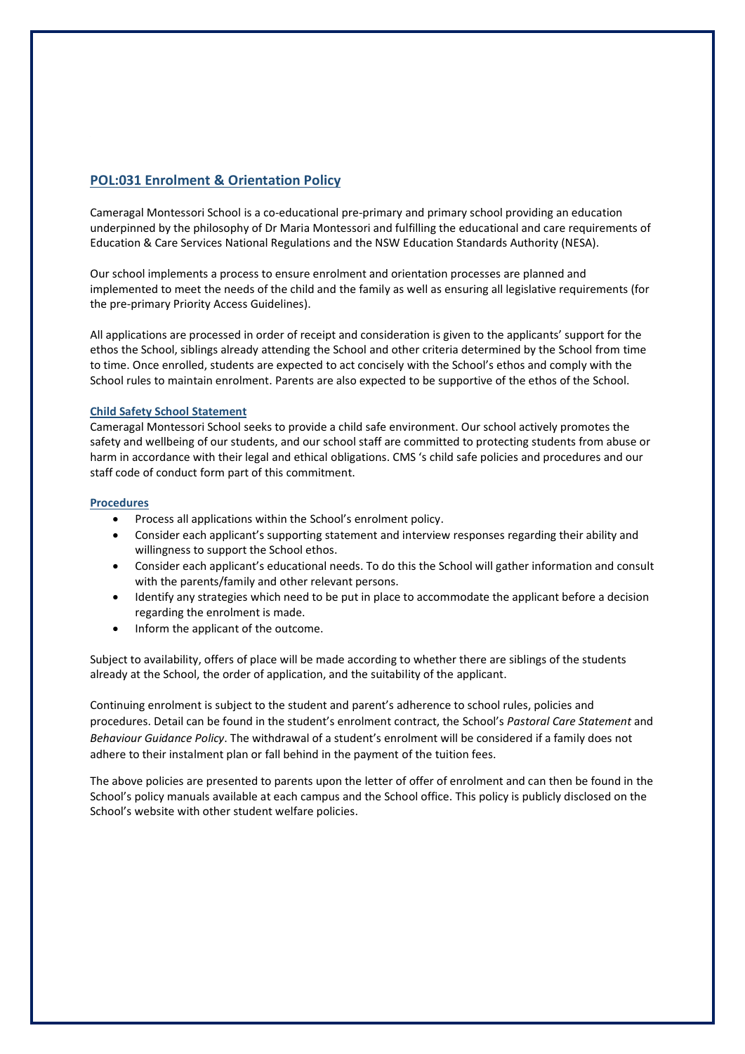# **POL:031 Enrolment & Orientation Policy**

Cameragal Montessori School is a co-educational pre-primary and primary school providing an education underpinned by the philosophy of Dr Maria Montessori and fulfilling the educational and care requirements of Education & Care Services National Regulations and the NSW Education Standards Authority (NESA).

Our school implements a process to ensure enrolment and orientation processes are planned and implemented to meet the needs of the child and the family as well as ensuring all legislative requirements (for the pre-primary Priority Access Guidelines).

All applications are processed in order of receipt and consideration is given to the applicants' support for the ethos the School, siblings already attending the School and other criteria determined by the School from time to time. Once enrolled, students are expected to act concisely with the School's ethos and comply with the School rules to maintain enrolment. Parents are also expected to be supportive of the ethos of the School.

## **Child Safety School Statement**

Cameragal Montessori School seeks to provide a child safe environment. Our school actively promotes the safety and wellbeing of our students, and our school staff are committed to protecting students from abuse or harm in accordance with their legal and ethical obligations. CMS 's child safe policies and procedures and our staff code of conduct form part of this commitment.

## **Procedures**

- Process all applications within the School's enrolment policy.
- Consider each applicant's supporting statement and interview responses regarding their ability and willingness to support the School ethos.
- Consider each applicant's educational needs. To do this the School will gather information and consult with the parents/family and other relevant persons.
- Identify any strategies which need to be put in place to accommodate the applicant before a decision regarding the enrolment is made.
- Inform the applicant of the outcome.

Subject to availability, offers of place will be made according to whether there are siblings of the students already at the School, the order of application, and the suitability of the applicant.

Continuing enrolment is subject to the student and parent's adherence to school rules, policies and procedures. Detail can be found in the student's enrolment contract, the School's *Pastoral Care Statement* and *Behaviour Guidance Policy*. The withdrawal of a student's enrolment will be considered if a family does not adhere to their instalment plan or fall behind in the payment of the tuition fees.

The above policies are presented to parents upon the letter of offer of enrolment and can then be found in the School's policy manuals available at each campus and the School office. This policy is publicly disclosed on the School's website with other student welfare policies.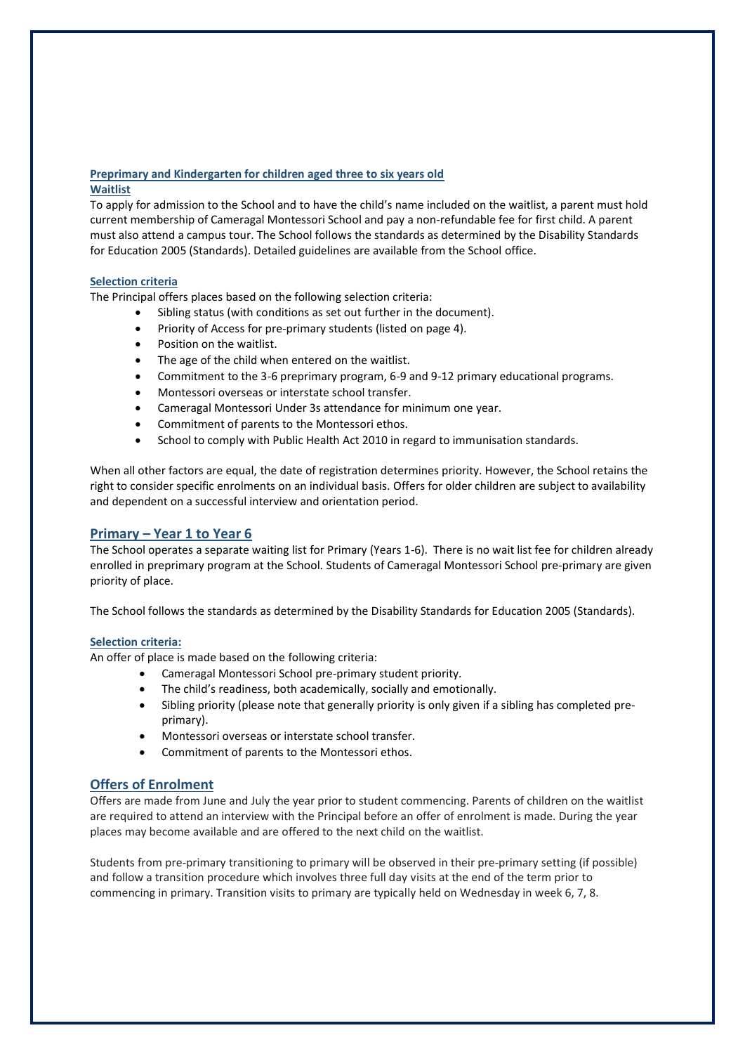# **Preprimary and Kindergarten for children aged three to six years old Waitlist**

To apply for admission to the School and to have the child's name included on the waitlist, a parent must hold current membership of Cameragal Montessori School and pay a non-refundable fee for first child. A parent must also attend a campus tour. The School follows the standards as determined by the Disability Standards for Education 2005 (Standards). Detailed guidelines are available from the School office.

# **Selection criteria**

The Principal offers places based on the following selection criteria:

- Sibling status (with conditions as set out further in the document).
- Priority of Access for pre-primary students (listed on page 4).
- Position on the waitlist.
- The age of the child when entered on the waitlist.
- Commitment to the 3-6 preprimary program, 6-9 and 9-12 primary educational programs.
- Montessori overseas or interstate school transfer.
- Cameragal Montessori Under 3s attendance for minimum one year.
- Commitment of parents to the Montessori ethos.
- School to comply with Public Health Act 2010 in regard to immunisation standards.

When all other factors are equal, the date of registration determines priority. However, the School retains the right to consider specific enrolments on an individual basis. Offers for older children are subject to availability and dependent on a successful interview and orientation period.

# **Primary – Year 1 to Year 6**

The School operates a separate waiting list for Primary (Years 1-6). There is no wait list fee for children already enrolled in preprimary program at the School. Students of Cameragal Montessori School pre-primary are given priority of place.

The School follows the standards as determined by the Disability Standards for Education 2005 (Standards).

# **Selection criteria:**

An offer of place is made based on the following criteria:

- Cameragal Montessori School pre-primary student priority.
- The child's readiness, both academically, socially and emotionally.
- Sibling priority (please note that generally priority is only given if a sibling has completed preprimary).
- Montessori overseas or interstate school transfer.
- Commitment of parents to the Montessori ethos.

# **Offers of Enrolment**

Offers are made from June and July the year prior to student commencing. Parents of children on the waitlist are required to attend an interview with the Principal before an offer of enrolment is made. During the year places may become available and are offered to the next child on the waitlist.

Students from pre-primary transitioning to primary will be observed in their pre-primary setting (if possible) and follow a transition procedure which involves three full day visits at the end of the term prior to commencing in primary. Transition visits to primary are typically held on Wednesday in week 6, 7, 8.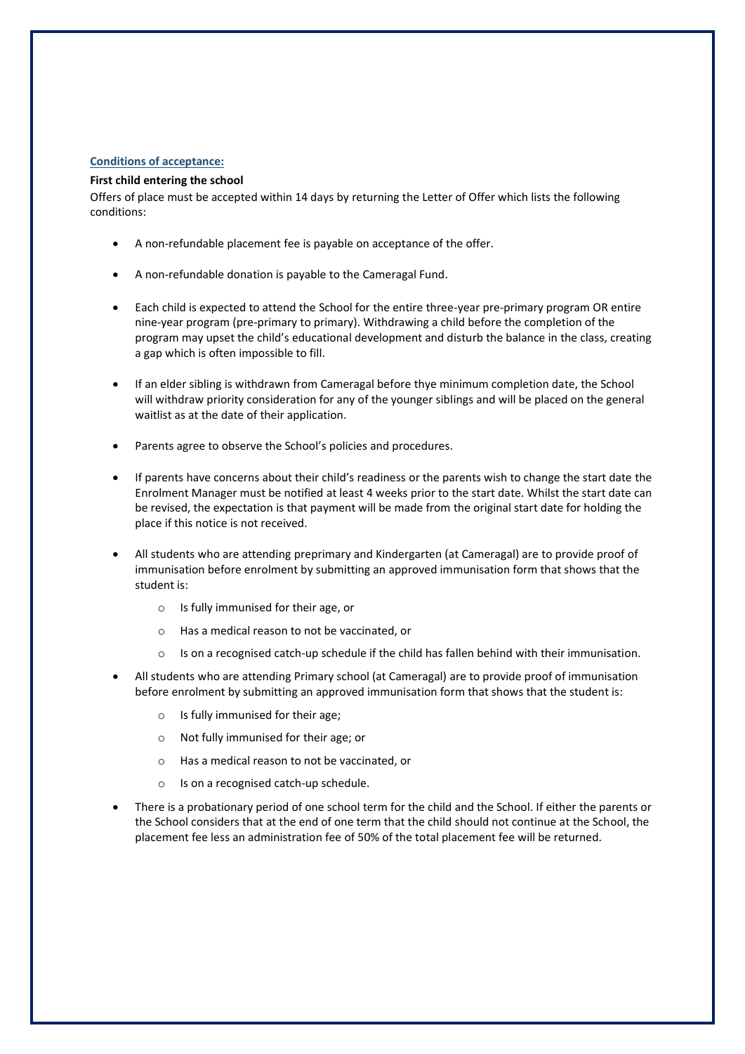# **Conditions of acceptance:**

### **First child entering the school**

Offers of place must be accepted within 14 days by returning the Letter of Offer which lists the following conditions:

- A non-refundable placement fee is payable on acceptance of the offer.
- A non-refundable donation is payable to the Cameragal Fund.
- Each child is expected to attend the School for the entire three-year pre-primary program OR entire nine-year program (pre-primary to primary). Withdrawing a child before the completion of the program may upset the child's educational development and disturb the balance in the class, creating a gap which is often impossible to fill.
- If an elder sibling is withdrawn from Cameragal before thye minimum completion date, the School will withdraw priority consideration for any of the younger siblings and will be placed on the general waitlist as at the date of their application.
- Parents agree to observe the School's policies and procedures.
- If parents have concerns about their child's readiness or the parents wish to change the start date the Enrolment Manager must be notified at least 4 weeks prior to the start date. Whilst the start date can be revised, the expectation is that payment will be made from the original start date for holding the place if this notice is not received.
- All students who are attending preprimary and Kindergarten (at Cameragal) are to provide proof of immunisation before enrolment by submitting an approved immunisation form that shows that the student is:
	- o Is fully immunised for their age, or
	- o Has a medical reason to not be vaccinated, or
	- $\circ$  Is on a recognised catch-up schedule if the child has fallen behind with their immunisation.
- All students who are attending Primary school (at Cameragal) are to provide proof of immunisation before enrolment by submitting an approved immunisation form that shows that the student is:
	- o Is fully immunised for their age;
	- o Not fully immunised for their age; or
	- o Has a medical reason to not be vaccinated, or
	- o Is on a recognised catch-up schedule.
- There is a probationary period of one school term for the child and the School. If either the parents or the School considers that at the end of one term that the child should not continue at the School, the placement fee less an administration fee of 50% of the total placement fee will be returned.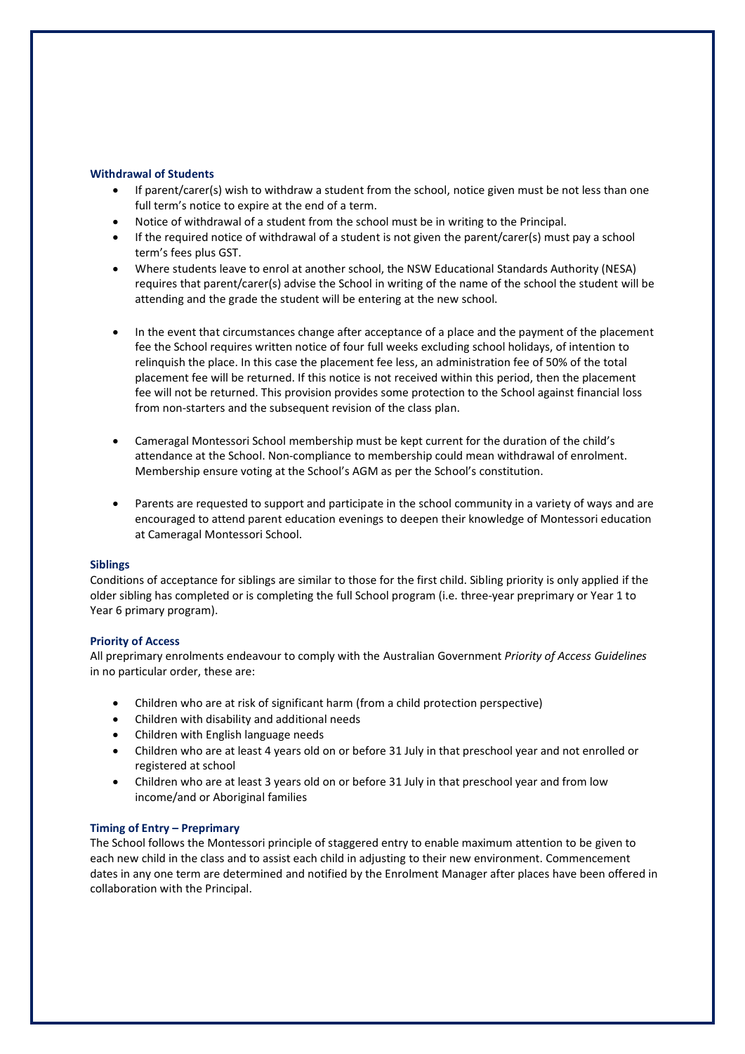### **Withdrawal of Students**

- If parent/carer(s) wish to withdraw a student from the school, notice given must be not less than one full term's notice to expire at the end of a term.
- Notice of withdrawal of a student from the school must be in writing to the Principal.
- If the required notice of withdrawal of a student is not given the parent/carer(s) must pay a school term's fees plus GST.
- Where students leave to enrol at another school, the NSW Educational Standards Authority (NESA) requires that parent/carer(s) advise the School in writing of the name of the school the student will be attending and the grade the student will be entering at the new school.
- In the event that circumstances change after acceptance of a place and the payment of the placement fee the School requires written notice of four full weeks excluding school holidays, of intention to relinquish the place. In this case the placement fee less, an administration fee of 50% of the total placement fee will be returned. If this notice is not received within this period, then the placement fee will not be returned. This provision provides some protection to the School against financial loss from non-starters and the subsequent revision of the class plan.
- Cameragal Montessori School membership must be kept current for the duration of the child's attendance at the School. Non-compliance to membership could mean withdrawal of enrolment. Membership ensure voting at the School's AGM as per the School's constitution.
- Parents are requested to support and participate in the school community in a variety of ways and are encouraged to attend parent education evenings to deepen their knowledge of Montessori education at Cameragal Montessori School.

### **Siblings**

Conditions of acceptance for siblings are similar to those for the first child. Sibling priority is only applied if the older sibling has completed or is completing the full School program (i.e. three-year preprimary or Year 1 to Year 6 primary program).

### **Priority of Access**

All preprimary enrolments endeavour to comply with the Australian Government *Priority of Access Guidelines* in no particular order, these are:

- Children who are at risk of significant harm (from a child protection perspective)
- Children with disability and additional needs
- Children with English language needs
- Children who are at least 4 years old on or before 31 July in that preschool year and not enrolled or registered at school
- Children who are at least 3 years old on or before 31 July in that preschool year and from low income/and or Aboriginal families

## **Timing of Entry – Preprimary**

The School follows the Montessori principle of staggered entry to enable maximum attention to be given to each new child in the class and to assist each child in adjusting to their new environment. Commencement dates in any one term are determined and notified by the Enrolment Manager after places have been offered in collaboration with the Principal.